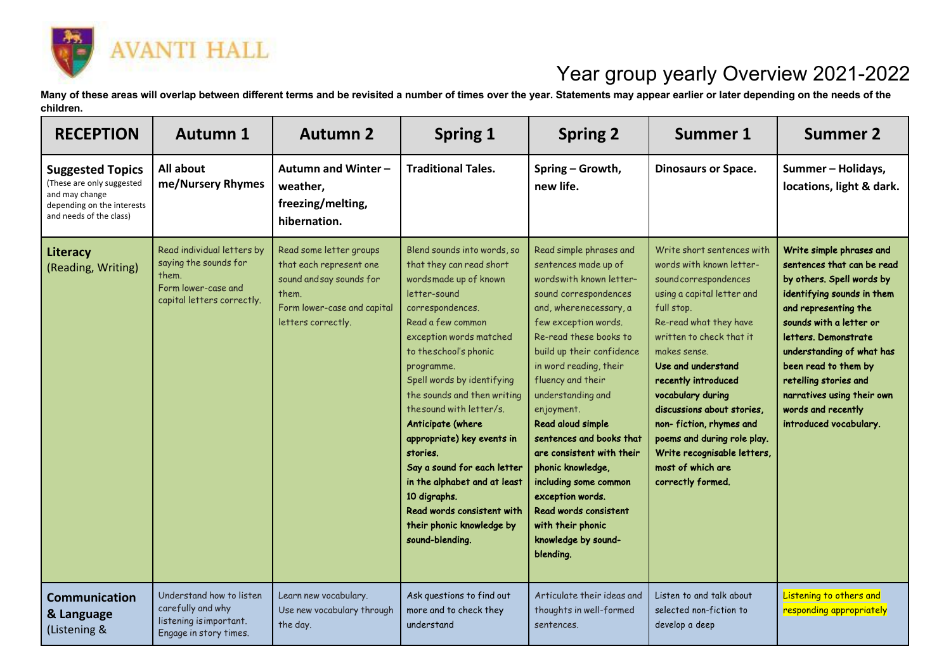

## Year group yearly Overview 2021-2022

**Many of these areas will overlap between different terms and be revisited a number of times over the year. Statements may appear earlier or later depending on the needs of the children.**

| <b>RECEPTION</b>                                                                                                                | <b>Autumn 1</b>                                                                                                   | <b>Autumn 2</b>                                                                                                                              | <b>Spring 1</b>                                                                                                                                                                                                                                                                                                                                                                                                                                                                                                                   | <b>Spring 2</b>                                                                                                                                                                                                                                                                                                                                                                                                                                                                                                                  | <b>Summer 1</b>                                                                                                                                                                                                                                                                                                                                                                                                                      | <b>Summer 2</b>                                                                                                                                                                                                                                                                                                                                          |
|---------------------------------------------------------------------------------------------------------------------------------|-------------------------------------------------------------------------------------------------------------------|----------------------------------------------------------------------------------------------------------------------------------------------|-----------------------------------------------------------------------------------------------------------------------------------------------------------------------------------------------------------------------------------------------------------------------------------------------------------------------------------------------------------------------------------------------------------------------------------------------------------------------------------------------------------------------------------|----------------------------------------------------------------------------------------------------------------------------------------------------------------------------------------------------------------------------------------------------------------------------------------------------------------------------------------------------------------------------------------------------------------------------------------------------------------------------------------------------------------------------------|--------------------------------------------------------------------------------------------------------------------------------------------------------------------------------------------------------------------------------------------------------------------------------------------------------------------------------------------------------------------------------------------------------------------------------------|----------------------------------------------------------------------------------------------------------------------------------------------------------------------------------------------------------------------------------------------------------------------------------------------------------------------------------------------------------|
| <b>Suggested Topics</b><br>(These are only suggested<br>and may change<br>depending on the interests<br>and needs of the class) | All about<br>me/Nursery Rhymes                                                                                    | Autumn and Winter-<br>weather,<br>freezing/melting,<br>hibernation.                                                                          | <b>Traditional Tales.</b>                                                                                                                                                                                                                                                                                                                                                                                                                                                                                                         | Spring - Growth,<br>new life.                                                                                                                                                                                                                                                                                                                                                                                                                                                                                                    | <b>Dinosaurs or Space.</b>                                                                                                                                                                                                                                                                                                                                                                                                           | Summer - Holidays,<br>locations, light & dark.                                                                                                                                                                                                                                                                                                           |
| Literacy<br>(Reading, Writing)                                                                                                  | Read individual letters by<br>saying the sounds for<br>them.<br>Form lower-case and<br>capital letters correctly. | Read some letter groups<br>that each represent one<br>sound and say sounds for<br>them.<br>Form lower-case and capital<br>letters correctly. | Blend sounds into words, so<br>that they can read short<br>wordsmade up of known<br>letter-sound<br>correspondences.<br>Read a few common<br>exception words matched<br>to the school's phonic<br>programme.<br>Spell words by identifying<br>the sounds and then writing<br>the sound with letter/s.<br>Anticipate (where<br>appropriate) key events in<br>stories.<br>Say a sound for each letter<br>in the alphabet and at least<br>10 digraphs.<br>Read words consistent with<br>their phonic knowledge by<br>sound-blending. | Read simple phrases and<br>sentences made up of<br>wordswith known letter-<br>sound correspondences<br>and, wherenecessary, a<br>few exception words.<br>Re-read these books to<br>build up their confidence<br>in word reading, their<br>fluency and their<br>understanding and<br>enjoyment.<br>Read aloud simple<br>sentences and books that<br>are consistent with their<br>phonic knowledge,<br>including some common<br>exception words.<br>Read words consistent<br>with their phonic<br>knowledge by sound-<br>blending. | Write short sentences with<br>words with known letter-<br>sound correspondences<br>using a capital letter and<br>full stop.<br>Re-read what they have<br>written to check that it<br>makes sense.<br>Use and understand<br>recently introduced<br>vocabulary during<br>discussions about stories,<br>non-fiction, rhymes and<br>poems and during role play.<br>Write recognisable letters,<br>most of which are<br>correctly formed. | Write simple phrases and<br>sentences that can be read<br>by others. Spell words by<br>identifying sounds in them<br>and representing the<br>sounds with a letter or<br>letters. Demonstrate<br>understanding of what has<br>been read to them by<br>retelling stories and<br>narratives using their own<br>words and recently<br>introduced vocabulary. |
| <b>Communication</b><br>& Language<br>(Listening &                                                                              | Understand how to listen<br>carefully and why<br>listening is important.<br>Engage in story times.                | Learn new vocabulary.<br>Use new vocabulary through<br>the day.                                                                              | Ask questions to find out<br>more and to check they<br>understand                                                                                                                                                                                                                                                                                                                                                                                                                                                                 | Articulate their ideas and<br>thoughts in well-formed<br>sentences.                                                                                                                                                                                                                                                                                                                                                                                                                                                              | Listen to and talk about<br>selected non-fiction to<br>develop a deep                                                                                                                                                                                                                                                                                                                                                                | Listening to others and<br>responding appropriately                                                                                                                                                                                                                                                                                                      |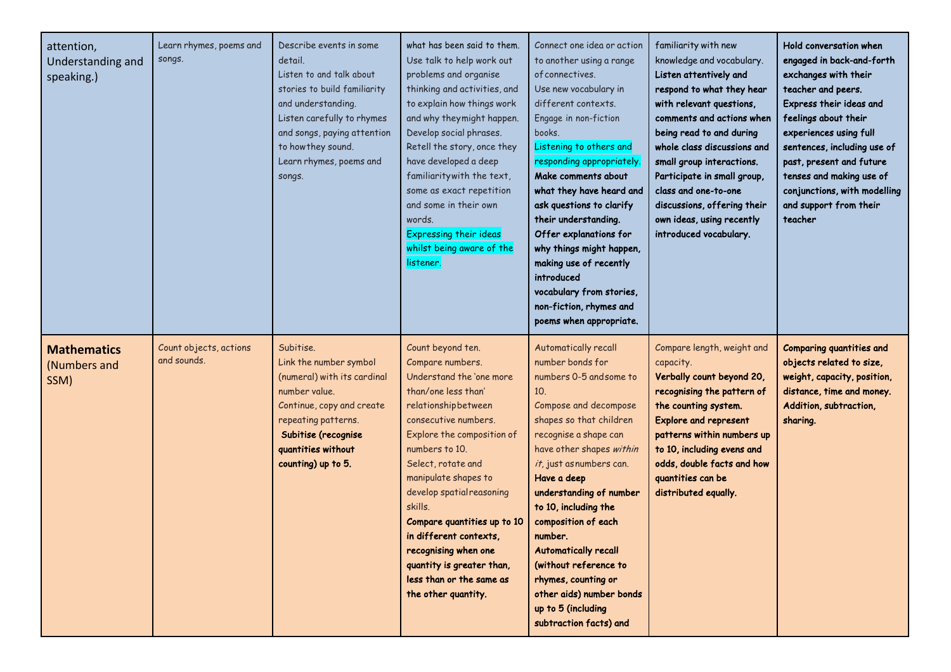| attention,<br>Understanding and<br>speaking.) | Learn rhymes, poems and<br>songs.     | Describe events in some<br>detail.<br>Listen to and talk about<br>stories to build familiarity<br>and understanding.<br>Listen carefully to rhymes<br>and songs, paying attention<br>to how they sound.<br>Learn rhymes, poems and<br>songs. | what has been said to them.<br>Use talk to help work out<br>problems and organise<br>thinking and activities, and<br>to explain how things work<br>and why they might happen.<br>Develop social phrases.<br>Retell the story, once they<br>have developed a deep<br>familiarity with the text,<br>some as exact repetition<br>and some in their own<br>words.<br><b>Expressing their ideas</b><br>whilst being aware of the<br>listener.       | Connect one idea or action<br>to another using a range<br>of connectives.<br>Use new vocabulary in<br>different contexts.<br>Engage in non-fiction<br>books.<br>Listening to others and<br>responding appropriately.<br>Make comments about<br>what they have heard and<br>ask questions to clarify<br>their understanding.<br>Offer explanations for<br>why things might happen,<br>making use of recently<br>introduced<br>vocabulary from stories,<br>non-fiction, rhymes and<br>poems when appropriate. | familiarity with new<br>knowledge and vocabulary.<br>Listen attentively and<br>respond to what they hear<br>with relevant questions,<br>comments and actions when<br>being read to and during<br>whole class discussions and<br>small group interactions.<br>Participate in small group,<br>class and one-to-one<br>discussions, offering their<br>own ideas, using recently<br>introduced vocabulary. | Hold conversation when<br>engaged in back-and-forth<br>exchanges with their<br>teacher and peers.<br>Express their ideas and<br>feelings about their<br>experiences using full<br>sentences, including use of<br>past, present and future<br>tenses and making use of<br>conjunctions, with modelling<br>and support from their<br>teacher |
|-----------------------------------------------|---------------------------------------|----------------------------------------------------------------------------------------------------------------------------------------------------------------------------------------------------------------------------------------------|------------------------------------------------------------------------------------------------------------------------------------------------------------------------------------------------------------------------------------------------------------------------------------------------------------------------------------------------------------------------------------------------------------------------------------------------|-------------------------------------------------------------------------------------------------------------------------------------------------------------------------------------------------------------------------------------------------------------------------------------------------------------------------------------------------------------------------------------------------------------------------------------------------------------------------------------------------------------|--------------------------------------------------------------------------------------------------------------------------------------------------------------------------------------------------------------------------------------------------------------------------------------------------------------------------------------------------------------------------------------------------------|--------------------------------------------------------------------------------------------------------------------------------------------------------------------------------------------------------------------------------------------------------------------------------------------------------------------------------------------|
| <b>Mathematics</b><br>(Numbers and<br>SSM)    | Count objects, actions<br>and sounds. | Subitise.<br>Link the number symbol<br>(numeral) with its cardinal<br>number value.<br>Continue, copy and create<br>repeating patterns.<br>Subitise (recognise<br>quantities without<br>counting) up to 5.                                   | Count beyond ten.<br>Compare numbers.<br>Understand the 'one more<br>than/one less than'<br>relationshipbetween<br>consecutive numbers.<br>Explore the composition of<br>numbers to 10.<br>Select, rotate and<br>manipulate shapes to<br>develop spatial reasoning<br>skills.<br>Compare quantities up to 10<br>in different contexts,<br>recognising when one<br>quantity is greater than,<br>less than or the same as<br>the other quantity. | Automatically recall<br>number bonds for<br>numbers 0-5 and some to<br>10.<br>Compose and decompose<br>shapes so that children<br>recognise a shape can<br>have other shapes within<br>it, just asnumbers can.<br>Have a deep<br>understanding of number<br>to 10, including the<br>composition of each<br>number.<br><b>Automatically recall</b><br>(without reference to<br>rhymes, counting or<br>other aids) number bonds<br>up to 5 (including<br>subtraction facts) and                               | Compare length, weight and<br>capacity.<br>Verbally count beyond 20,<br>recognising the pattern of<br>the counting system.<br><b>Explore and represent</b><br>patterns within numbers up<br>to 10, including evens and<br>odds, double facts and how<br>quantities can be<br>distributed equally.                                                                                                      | <b>Comparing quantities and</b><br>objects related to size,<br>weight, capacity, position,<br>distance, time and money.<br>Addition, subtraction,<br>sharing.                                                                                                                                                                              |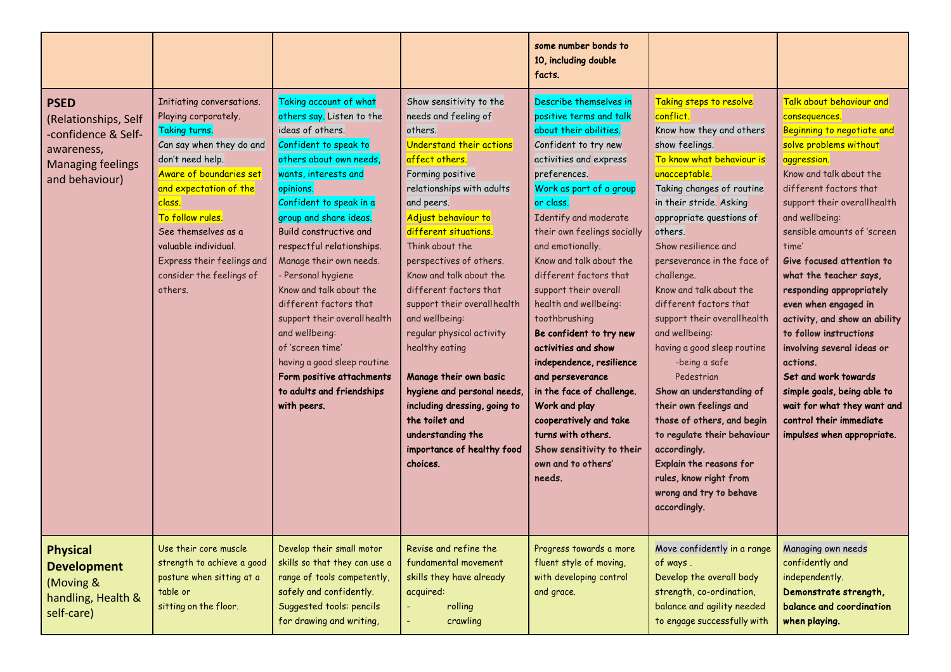|                                                                                                                        |                                                                                                                                                                                                                                                                                                                           |                                                                                                                                                                                                                                                                                                                                                                                                                                                                                                                                                                 |                                                                                                                                                                                                                                                                                                                                                                                                                                                                                                                                                                                                      | some number bonds to<br>10, including double<br>facts.                                                                                                                                                                                                                                                                                                                                                                                                                                                                                                                                                                                                 |                                                                                                                                                                                                                                                                                                                                                                                                                                                                                                                                                                                                                                                                                                                   |                                                                                                                                                                                                                                                                                                                                                                                                                                                                                                                                                                                                                                |
|------------------------------------------------------------------------------------------------------------------------|---------------------------------------------------------------------------------------------------------------------------------------------------------------------------------------------------------------------------------------------------------------------------------------------------------------------------|-----------------------------------------------------------------------------------------------------------------------------------------------------------------------------------------------------------------------------------------------------------------------------------------------------------------------------------------------------------------------------------------------------------------------------------------------------------------------------------------------------------------------------------------------------------------|------------------------------------------------------------------------------------------------------------------------------------------------------------------------------------------------------------------------------------------------------------------------------------------------------------------------------------------------------------------------------------------------------------------------------------------------------------------------------------------------------------------------------------------------------------------------------------------------------|--------------------------------------------------------------------------------------------------------------------------------------------------------------------------------------------------------------------------------------------------------------------------------------------------------------------------------------------------------------------------------------------------------------------------------------------------------------------------------------------------------------------------------------------------------------------------------------------------------------------------------------------------------|-------------------------------------------------------------------------------------------------------------------------------------------------------------------------------------------------------------------------------------------------------------------------------------------------------------------------------------------------------------------------------------------------------------------------------------------------------------------------------------------------------------------------------------------------------------------------------------------------------------------------------------------------------------------------------------------------------------------|--------------------------------------------------------------------------------------------------------------------------------------------------------------------------------------------------------------------------------------------------------------------------------------------------------------------------------------------------------------------------------------------------------------------------------------------------------------------------------------------------------------------------------------------------------------------------------------------------------------------------------|
| <b>PSED</b><br>(Relationships, Self<br>-confidence & Self-<br>awareness,<br><b>Managing feelings</b><br>and behaviour) | Initiating conversations.<br>Playing corporately.<br>Taking turns.<br>Can say when they do and<br>don't need help.<br>Aware of boundaries set<br>and expectation of the<br>class.<br>To follow rules.<br>See themselves as a<br>valuable individual.<br>Express their feelings and<br>consider the feelings of<br>others. | Taking account of what<br>others say. Listen to the<br>ideas of others.<br>Confident to speak to<br>others about own needs,<br>wants, interests and<br>opinions.<br>Confident to speak in a<br>group and share ideas.<br>Build constructive and<br>respectful relationships.<br>Manage their own needs.<br>- Personal hygiene<br>Know and talk about the<br>different factors that<br>support their overallhealth<br>and wellbeing:<br>of 'screen time'<br>having a good sleep routine<br>Form positive attachments<br>to adults and friendships<br>with peers. | Show sensitivity to the<br>needs and feeling of<br>others.<br>Understand their actions<br>affect others.<br>Forming positive<br>relationships with adults<br>and peers.<br>Adjust behaviour to<br>different situations.<br>Think about the<br>perspectives of others.<br>Know and talk about the<br>different factors that<br>support their overallhealth<br>and wellbeing:<br>regular physical activity<br>healthy eating<br>Manage their own basic<br>hygiene and personal needs,<br>including dressing, going to<br>the toilet and<br>understanding the<br>importance of healthy food<br>choices. | Describe themselves in<br>positive terms and talk<br>about their abilities.<br>Confident to try new<br>activities and express<br>preferences.<br>Work as part of a group<br>or class.<br>Identify and moderate<br>their own feelings socially<br>and emotionally.<br>Know and talk about the<br>different factors that<br>support their overall<br>health and wellbeing:<br>toothbrushing<br>Be confident to try new<br>activities and show<br>independence, resilience<br>and perseverance<br>in the face of challenge.<br>Work and play<br>cooperatively and take<br>turns with others.<br>Show sensitivity to their<br>own and to others'<br>needs. | Taking steps to resolve<br>conflict.<br>Know how they and others<br>show feelings.<br>To know what behaviour is<br>unacceptable.<br>Taking changes of routine<br>in their stride. Asking<br>appropriate questions of<br>others.<br>Show resilience and<br>perseverance in the face of<br>challenge.<br>Know and talk about the<br>different factors that<br>support their overallhealth<br>and wellbeing:<br>having a good sleep routine<br>-being a safe<br>Pedestrian<br>Show an understanding of<br>their own feelings and<br>those of others, and begin<br>to regulate their behaviour<br>accordingly.<br><b>Explain the reasons for</b><br>rules, know right from<br>wrong and try to behave<br>accordingly. | Talk about behaviour and<br>consequences.<br>Beginning to negotiate and<br>solve problems without<br>aggression.<br>Know and talk about the<br>different factors that<br>support their overall health<br>and wellbeing:<br>sensible amounts of 'screen<br>time'<br>Give focused attention to<br>what the teacher says,<br>responding appropriately<br>even when engaged in<br>activity, and show an ability<br>to follow instructions<br>involving several ideas or<br>actions.<br>Set and work towards<br>simple goals, being able to<br>wait for what they want and<br>control their immediate<br>impulses when appropriate. |
| <b>Physical</b><br><b>Development</b><br>(Moving &<br>handling, Health &<br>self-care)                                 | Use their core muscle<br>strength to achieve a good<br>posture when sitting at a<br>table or<br>sitting on the floor.                                                                                                                                                                                                     | Develop their small motor<br>skills so that they can use a<br>range of tools competently,<br>safely and confidently.<br>Suggested tools: pencils<br>for drawing and writing,                                                                                                                                                                                                                                                                                                                                                                                    | Revise and refine the<br>fundamental movement<br>skills they have already<br>acquired:<br>rolling<br>crawling                                                                                                                                                                                                                                                                                                                                                                                                                                                                                        | Progress towards a more<br>fluent style of moving,<br>with developing control<br>and grace.                                                                                                                                                                                                                                                                                                                                                                                                                                                                                                                                                            | Move confidently in a range<br>of ways.<br>Develop the overall body<br>strength, co-ordination,<br>balance and agility needed<br>to engage successfully with                                                                                                                                                                                                                                                                                                                                                                                                                                                                                                                                                      | Managing own needs<br>confidently and<br>independently.<br>Demonstrate strength,<br>balance and coordination<br>when playing.                                                                                                                                                                                                                                                                                                                                                                                                                                                                                                  |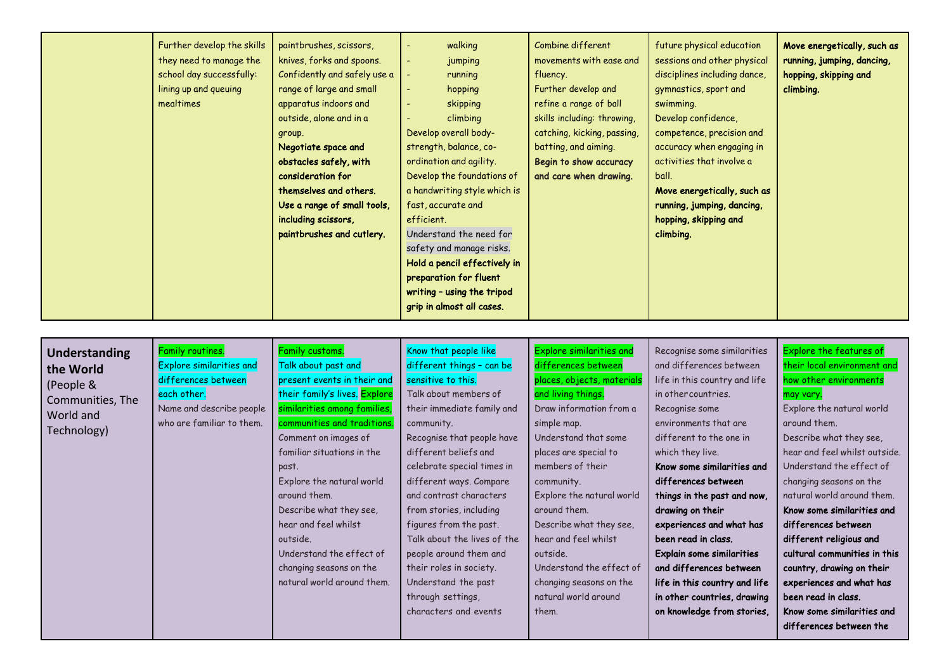|  | Further develop the skills<br>they need to manage the<br>school day successfully:<br>lining up and queuing<br>mealtimes | paintbrushes, scissors,<br>knives, forks and spoons.<br>Confidently and safely use a<br>range of large and small<br>apparatus indoors and<br>outside, alone and in a<br>group.<br>Negotiate space and<br>obstacles safely, with<br>consideration for<br>themselves and others.<br>Use a range of small tools,<br>including scissors,<br>paintbrushes and cutlery. | walking<br>$\overline{\phantom{a}}$<br>jumping<br>running<br>hopping<br>$\overline{\phantom{a}}$<br>skipping<br>$\overline{\phantom{a}}$<br>climbing<br>Develop overall body-<br>strength, balance, co-<br>ordination and agility.<br>Develop the foundations of<br>a handwriting style which is<br>fast, accurate and<br>efficient.<br>Understand the need for<br>safety and manage risks.<br>Hold a pencil effectively in<br>preparation for fluent<br>writing - using the tripod<br>grip in almost all cases. | Combine different<br>movements with ease and<br>fluency.<br>Further develop and<br>refine a range of ball<br>skills including: throwing,<br>catching, kicking, passing,<br>batting, and aiming.<br>Begin to show accuracy<br>and care when drawing. | future physical education<br>sessions and other physical<br>disciplines including dance,<br>gymnastics, sport and<br>swimming.<br>Develop confidence,<br>competence, precision and<br>accuracy when engaging in<br>activities that involve a<br>ball.<br>Move energetically, such as<br>running, jumping, dancing,<br>hopping, skipping and<br>climbing. | Move energetically, such as<br>running, jumping, dancing,<br>hopping, skipping and<br>climbing. |
|--|-------------------------------------------------------------------------------------------------------------------------|-------------------------------------------------------------------------------------------------------------------------------------------------------------------------------------------------------------------------------------------------------------------------------------------------------------------------------------------------------------------|------------------------------------------------------------------------------------------------------------------------------------------------------------------------------------------------------------------------------------------------------------------------------------------------------------------------------------------------------------------------------------------------------------------------------------------------------------------------------------------------------------------|-----------------------------------------------------------------------------------------------------------------------------------------------------------------------------------------------------------------------------------------------------|----------------------------------------------------------------------------------------------------------------------------------------------------------------------------------------------------------------------------------------------------------------------------------------------------------------------------------------------------------|-------------------------------------------------------------------------------------------------|
|--|-------------------------------------------------------------------------------------------------------------------------|-------------------------------------------------------------------------------------------------------------------------------------------------------------------------------------------------------------------------------------------------------------------------------------------------------------------------------------------------------------------|------------------------------------------------------------------------------------------------------------------------------------------------------------------------------------------------------------------------------------------------------------------------------------------------------------------------------------------------------------------------------------------------------------------------------------------------------------------------------------------------------------------|-----------------------------------------------------------------------------------------------------------------------------------------------------------------------------------------------------------------------------------------------------|----------------------------------------------------------------------------------------------------------------------------------------------------------------------------------------------------------------------------------------------------------------------------------------------------------------------------------------------------------|-------------------------------------------------------------------------------------------------|

| <b>Understanding</b><br>the World<br>(People &<br>Communities, The<br>World and<br>Technology) | Family routines.<br><b>Explore similarities and</b><br>differences between<br>each other.<br>Name and describe people<br>who are familiar to them. | Family customs.<br>Talk about past and<br>present events in their and<br>their family's lives. Explore<br>similarities among families,<br>communities and traditions.<br>Comment on images of<br>familiar situations in the<br>past.<br>Explore the natural world<br>around them.<br>Describe what they see,<br>hear and feel whilst<br>outside.<br>Understand the effect of<br>changing seasons on the<br>natural world around them. | Know that people like<br>different things - can be<br>sensitive to this.<br>Talk about members of<br>their immediate family and<br>community.<br>Recognise that people have<br>different beliefs and<br>celebrate special times in<br>different ways. Compare<br>and contrast characters<br>from stories, including<br>figures from the past.<br>Talk about the lives of the<br>people around them and<br>their roles in society.<br>Understand the past<br>through settings,<br>characters and events | <b>Explore similarities and</b><br>differences between<br>places, objects, materials<br>and living things.<br>Draw information from a<br>simple map.<br>Understand that some<br>places are special to<br>members of their<br>community.<br>Explore the natural world<br>around them.<br>Describe what they see,<br>hear and feel whilst<br>outside.<br>Understand the effect of<br>changing seasons on the<br>natural world around<br>them. | Recognise some similarities<br>and differences between<br>life in this country and life<br>in other countries.<br>Recognise some<br>environments that are<br>different to the one in<br>which they live.<br>Know some similarities and<br>differences between<br>things in the past and now,<br>drawing on their<br>experiences and what has<br>been read in class.<br><b>Explain some similarities</b><br>and differences between<br>life in this country and life<br>in other countries, drawing<br>on knowledge from stories, | Explore the features of<br>their local environment and<br>how other environments<br>may vary.<br>Explore the natural world<br>around them.<br>Describe what they see,<br>hear and feel whilst outside.<br>Understand the effect of<br>changing seasons on the<br>natural world around them.<br>Know some similarities and<br>differences between<br>different religious and<br>cultural communities in this<br>country, drawing on their<br>experiences and what has<br>been read in class.<br>Know some similarities and<br>differences between the |
|------------------------------------------------------------------------------------------------|----------------------------------------------------------------------------------------------------------------------------------------------------|---------------------------------------------------------------------------------------------------------------------------------------------------------------------------------------------------------------------------------------------------------------------------------------------------------------------------------------------------------------------------------------------------------------------------------------|--------------------------------------------------------------------------------------------------------------------------------------------------------------------------------------------------------------------------------------------------------------------------------------------------------------------------------------------------------------------------------------------------------------------------------------------------------------------------------------------------------|---------------------------------------------------------------------------------------------------------------------------------------------------------------------------------------------------------------------------------------------------------------------------------------------------------------------------------------------------------------------------------------------------------------------------------------------|----------------------------------------------------------------------------------------------------------------------------------------------------------------------------------------------------------------------------------------------------------------------------------------------------------------------------------------------------------------------------------------------------------------------------------------------------------------------------------------------------------------------------------|------------------------------------------------------------------------------------------------------------------------------------------------------------------------------------------------------------------------------------------------------------------------------------------------------------------------------------------------------------------------------------------------------------------------------------------------------------------------------------------------------------------------------------------------------|
|------------------------------------------------------------------------------------------------|----------------------------------------------------------------------------------------------------------------------------------------------------|---------------------------------------------------------------------------------------------------------------------------------------------------------------------------------------------------------------------------------------------------------------------------------------------------------------------------------------------------------------------------------------------------------------------------------------|--------------------------------------------------------------------------------------------------------------------------------------------------------------------------------------------------------------------------------------------------------------------------------------------------------------------------------------------------------------------------------------------------------------------------------------------------------------------------------------------------------|---------------------------------------------------------------------------------------------------------------------------------------------------------------------------------------------------------------------------------------------------------------------------------------------------------------------------------------------------------------------------------------------------------------------------------------------|----------------------------------------------------------------------------------------------------------------------------------------------------------------------------------------------------------------------------------------------------------------------------------------------------------------------------------------------------------------------------------------------------------------------------------------------------------------------------------------------------------------------------------|------------------------------------------------------------------------------------------------------------------------------------------------------------------------------------------------------------------------------------------------------------------------------------------------------------------------------------------------------------------------------------------------------------------------------------------------------------------------------------------------------------------------------------------------------|